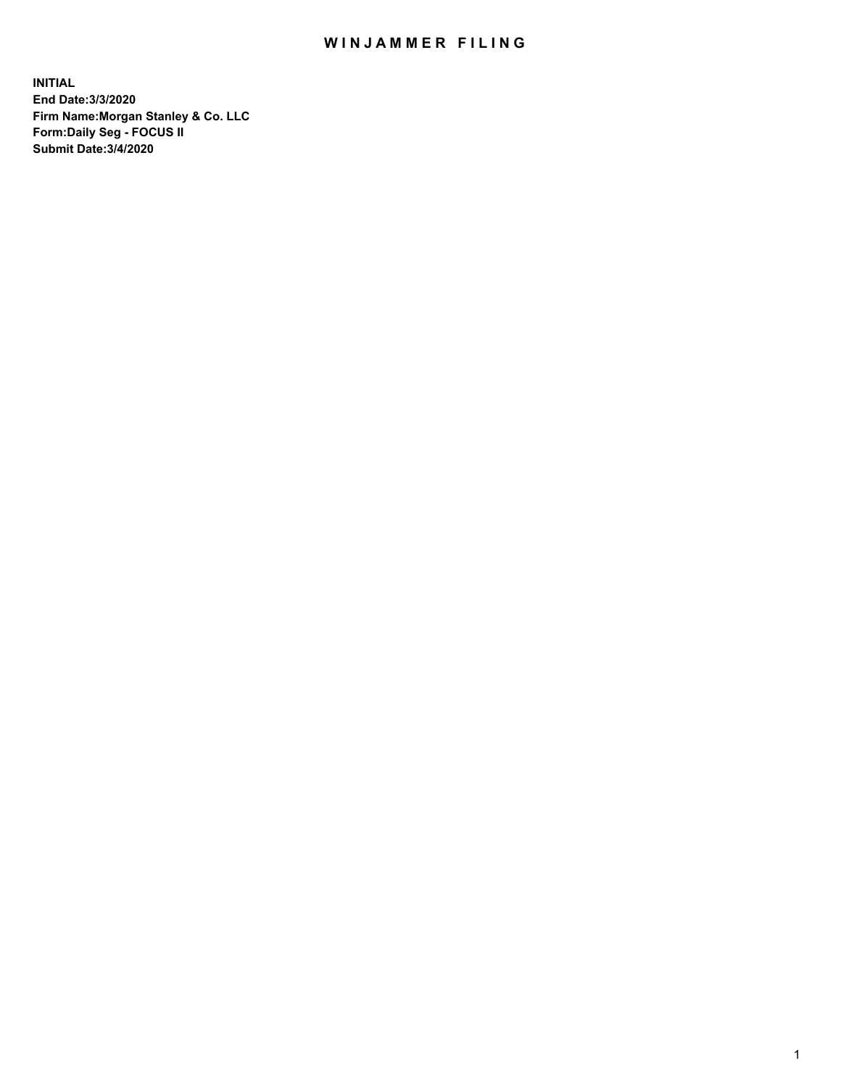## WIN JAMMER FILING

**INITIAL End Date:3/3/2020 Firm Name:Morgan Stanley & Co. LLC Form:Daily Seg - FOCUS II Submit Date:3/4/2020**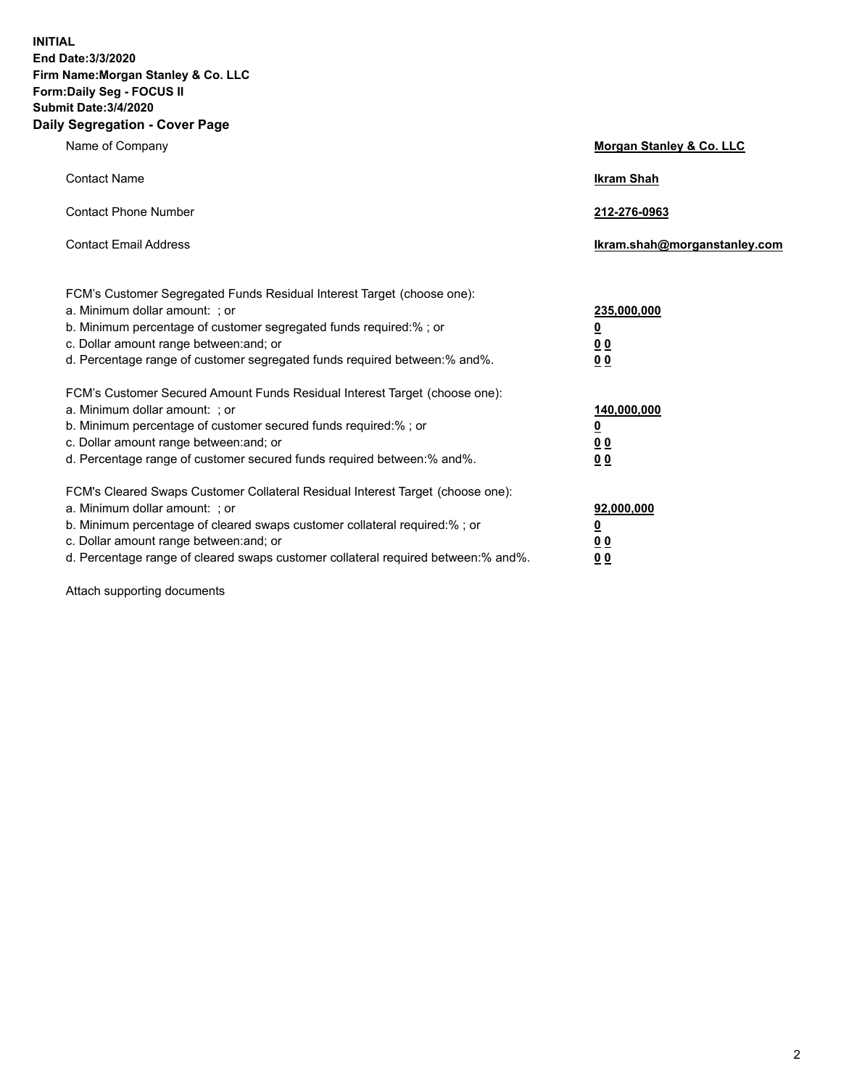**INITIAL End Date:3/3/2020 Firm Name:Morgan Stanley & Co. LLC Form:Daily Seg - FOCUS II Submit Date:3/4/2020 Daily Segregation - Cover Page**

| Name of Company                                                                   | Morgan Stanley & Co. LLC     |
|-----------------------------------------------------------------------------------|------------------------------|
| <b>Contact Name</b>                                                               | <b>Ikram Shah</b>            |
| <b>Contact Phone Number</b>                                                       | 212-276-0963                 |
| <b>Contact Email Address</b>                                                      | Ikram.shah@morganstanley.com |
| FCM's Customer Segregated Funds Residual Interest Target (choose one):            |                              |
| a. Minimum dollar amount: ; or                                                    | 235,000,000                  |
| b. Minimum percentage of customer segregated funds required:%; or                 | <u>0</u>                     |
| c. Dollar amount range between: and; or                                           | <u>00</u>                    |
| d. Percentage range of customer segregated funds required between:% and%.         | 0 Q                          |
| FCM's Customer Secured Amount Funds Residual Interest Target (choose one):        |                              |
| a. Minimum dollar amount: ; or                                                    | 140,000,000                  |
| b. Minimum percentage of customer secured funds required:%; or                    | <u>0</u>                     |
| c. Dollar amount range between: and; or                                           | <u>0 0</u>                   |
| d. Percentage range of customer secured funds required between: % and %.          | 0 Q                          |
| FCM's Cleared Swaps Customer Collateral Residual Interest Target (choose one):    |                              |
| a. Minimum dollar amount: ; or                                                    | 92,000,000                   |
| b. Minimum percentage of cleared swaps customer collateral required:% ; or        | <u>0</u>                     |
| c. Dollar amount range between: and; or                                           | 0 Q                          |
| d. Percentage range of cleared swaps customer collateral required between:% and%. | 0 <sub>0</sub>               |
|                                                                                   |                              |

Attach supporting documents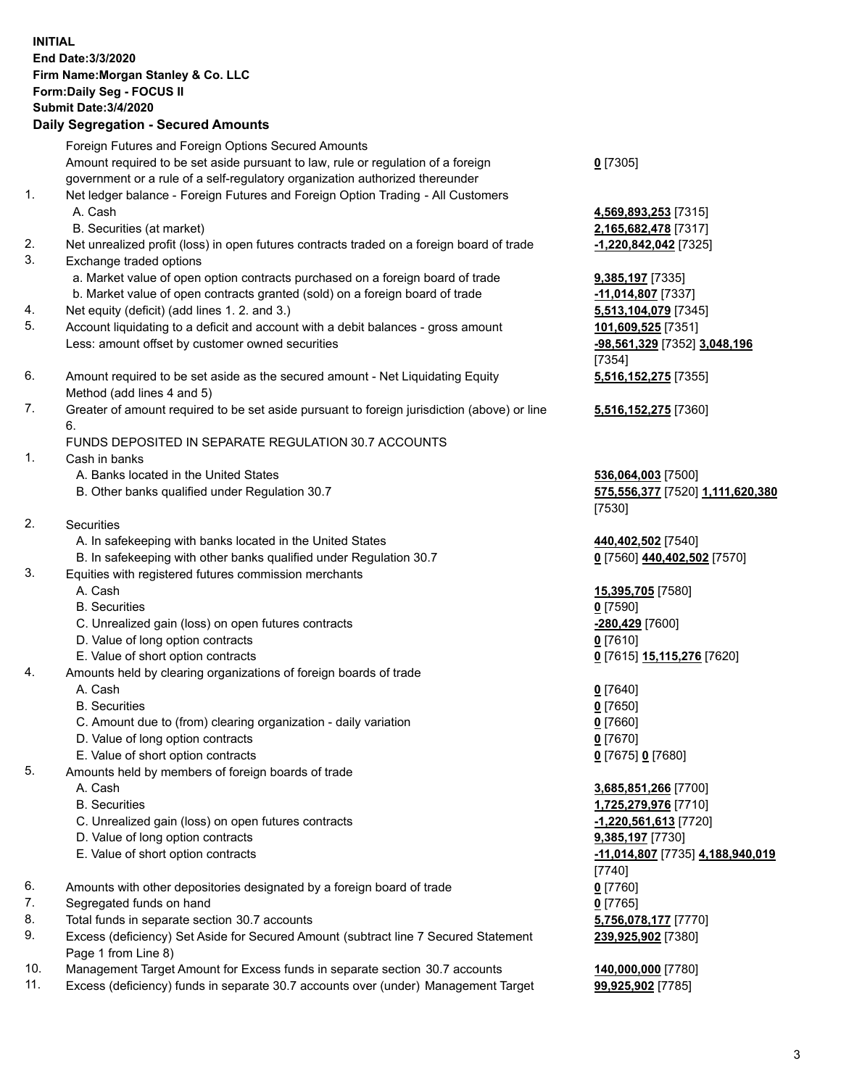|          | <b>INITIAL</b><br>End Date: 3/3/2020<br>Firm Name: Morgan Stanley & Co. LLC<br>Form: Daily Seg - FOCUS II<br><b>Submit Date: 3/4/2020</b><br><b>Daily Segregation - Secured Amounts</b> |                                                      |
|----------|-----------------------------------------------------------------------------------------------------------------------------------------------------------------------------------------|------------------------------------------------------|
|          | Foreign Futures and Foreign Options Secured Amounts                                                                                                                                     |                                                      |
|          | Amount required to be set aside pursuant to law, rule or regulation of a foreign                                                                                                        | $0$ [7305]                                           |
|          | government or a rule of a self-regulatory organization authorized thereunder                                                                                                            |                                                      |
| 1.       | Net ledger balance - Foreign Futures and Foreign Option Trading - All Customers                                                                                                         |                                                      |
|          | A. Cash                                                                                                                                                                                 | 4,569,893,253 [7315]                                 |
|          | B. Securities (at market)                                                                                                                                                               | 2,165,682,478 [7317]                                 |
| 2.<br>3. | Net unrealized profit (loss) in open futures contracts traded on a foreign board of trade<br>Exchange traded options                                                                    | -1,220,842,042 [7325]                                |
|          | a. Market value of open option contracts purchased on a foreign board of trade                                                                                                          | 9,385,197 [7335]                                     |
|          | b. Market value of open contracts granted (sold) on a foreign board of trade                                                                                                            | -11,014,807 [7337]                                   |
| 4.       | Net equity (deficit) (add lines 1. 2. and 3.)                                                                                                                                           | 5,513,104,079 [7345]                                 |
| 5.       | Account liquidating to a deficit and account with a debit balances - gross amount                                                                                                       | 101,609,525 [7351]                                   |
|          | Less: amount offset by customer owned securities                                                                                                                                        | -98,561,329 [7352] 3,048,196                         |
|          |                                                                                                                                                                                         | [7354]                                               |
| 6.       | Amount required to be set aside as the secured amount - Net Liquidating Equity                                                                                                          | 5,516,152,275 [7355]                                 |
|          | Method (add lines 4 and 5)                                                                                                                                                              |                                                      |
| 7.       | Greater of amount required to be set aside pursuant to foreign jurisdiction (above) or line                                                                                             | 5,516,152,275 [7360]                                 |
|          | 6.                                                                                                                                                                                      |                                                      |
| 1.       | FUNDS DEPOSITED IN SEPARATE REGULATION 30.7 ACCOUNTS<br>Cash in banks                                                                                                                   |                                                      |
|          | A. Banks located in the United States                                                                                                                                                   | 536,064,003 [7500]                                   |
|          | B. Other banks qualified under Regulation 30.7                                                                                                                                          | 575,556,377 [7520] 1,111,620,380                     |
|          |                                                                                                                                                                                         | [7530]                                               |
| 2.       | <b>Securities</b>                                                                                                                                                                       |                                                      |
|          | A. In safekeeping with banks located in the United States                                                                                                                               | 440,402,502 [7540]                                   |
|          | B. In safekeeping with other banks qualified under Regulation 30.7                                                                                                                      | 0 [7560] 440,402,502 [7570]                          |
| 3.       | Equities with registered futures commission merchants                                                                                                                                   |                                                      |
|          | A. Cash                                                                                                                                                                                 | 15,395,705 [7580]                                    |
|          | <b>B.</b> Securities                                                                                                                                                                    | $0$ [7590]                                           |
|          | C. Unrealized gain (loss) on open futures contracts                                                                                                                                     | -280,429 [7600]                                      |
|          | D. Value of long option contracts<br>E. Value of short option contracts                                                                                                                 | $0$ [7610]<br>0 [7615] 15,115,276 [7620]             |
| 4.       | Amounts held by clearing organizations of foreign boards of trade                                                                                                                       |                                                      |
|          | A. Cash                                                                                                                                                                                 | $0$ [7640]                                           |
|          | <b>B.</b> Securities                                                                                                                                                                    | $0$ [7650]                                           |
|          | C. Amount due to (from) clearing organization - daily variation                                                                                                                         | $0$ [7660]                                           |
|          | D. Value of long option contracts                                                                                                                                                       | $0$ [7670]                                           |
|          | E. Value of short option contracts                                                                                                                                                      | 0 [7675] 0 [7680]                                    |
| 5.       | Amounts held by members of foreign boards of trade                                                                                                                                      |                                                      |
|          | A. Cash                                                                                                                                                                                 | 3,685,851,266 [7700]                                 |
|          | <b>B.</b> Securities                                                                                                                                                                    | 1,725,279,976 [7710]                                 |
|          | C. Unrealized gain (loss) on open futures contracts                                                                                                                                     | -1,220,561,613 [7720]                                |
|          | D. Value of long option contracts<br>E. Value of short option contracts                                                                                                                 | 9,385,197 [7730]<br>-11,014,807 [7735] 4,188,940,019 |
|          |                                                                                                                                                                                         | $[7740]$                                             |
| 6.       | Amounts with other depositories designated by a foreign board of trade                                                                                                                  | $0$ [7760]                                           |
| 7.       | Segregated funds on hand                                                                                                                                                                | $0$ [7765]                                           |
| 8.       | Total funds in separate section 30.7 accounts                                                                                                                                           | 5,756,078,177 [7770]                                 |
| 9.       | Excess (deficiency) Set Aside for Secured Amount (subtract line 7 Secured Statement                                                                                                     | 239,925,902 [7380]                                   |
|          | Page 1 from Line 8)                                                                                                                                                                     |                                                      |
| 10.      | Management Target Amount for Excess funds in separate section 30.7 accounts                                                                                                             | 140,000,000 [7780]                                   |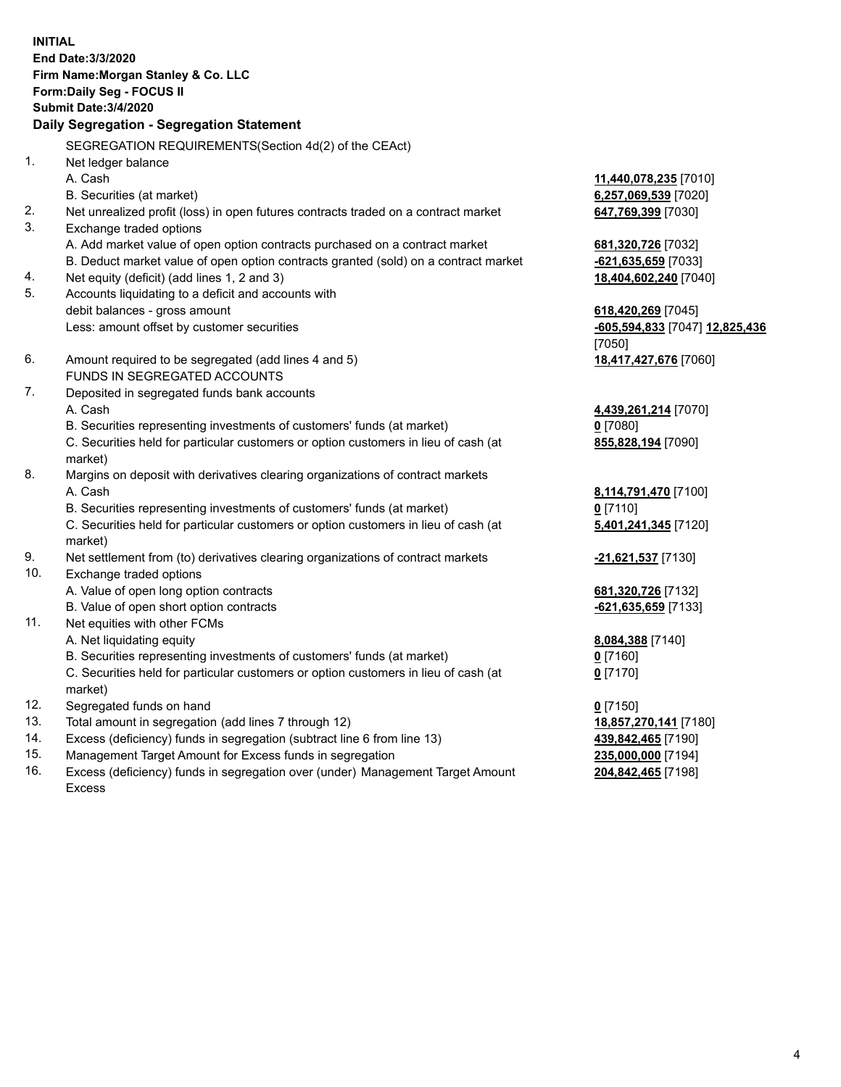|     | <b>INITIAL</b><br>End Date: 3/3/2020<br>Firm Name: Morgan Stanley & Co. LLC<br>Form: Daily Seg - FOCUS II<br><b>Submit Date: 3/4/2020</b><br>Daily Segregation - Segregation Statement |                                       |
|-----|----------------------------------------------------------------------------------------------------------------------------------------------------------------------------------------|---------------------------------------|
|     | SEGREGATION REQUIREMENTS(Section 4d(2) of the CEAct)                                                                                                                                   |                                       |
| 1.  | Net ledger balance                                                                                                                                                                     |                                       |
|     | A. Cash                                                                                                                                                                                | 11,440,078,235 [7010]                 |
|     | B. Securities (at market)                                                                                                                                                              | 6,257,069,539 [7020]                  |
| 2.  | Net unrealized profit (loss) in open futures contracts traded on a contract market                                                                                                     | 647,769,399 [7030]                    |
| 3.  | Exchange traded options                                                                                                                                                                |                                       |
|     | A. Add market value of open option contracts purchased on a contract market                                                                                                            | 681,320,726 [7032]                    |
|     | B. Deduct market value of open option contracts granted (sold) on a contract market                                                                                                    | -621,635,659 [7033]                   |
| 4.  | Net equity (deficit) (add lines 1, 2 and 3)                                                                                                                                            | 18,404,602,240 [7040]                 |
| 5.  | Accounts liquidating to a deficit and accounts with                                                                                                                                    |                                       |
|     | debit balances - gross amount                                                                                                                                                          | 618,420,269 [7045]                    |
|     | Less: amount offset by customer securities                                                                                                                                             | <u>-605,594,833</u> [7047] 12,825,436 |
|     |                                                                                                                                                                                        | [7050]                                |
| 6.  | Amount required to be segregated (add lines 4 and 5)                                                                                                                                   | 18,417,427,676 [7060]                 |
|     | FUNDS IN SEGREGATED ACCOUNTS                                                                                                                                                           |                                       |
| 7.  | Deposited in segregated funds bank accounts                                                                                                                                            |                                       |
|     | A. Cash                                                                                                                                                                                | 4,439,261,214 [7070]                  |
|     | B. Securities representing investments of customers' funds (at market)                                                                                                                 | $0$ [7080]                            |
|     | C. Securities held for particular customers or option customers in lieu of cash (at                                                                                                    | 855,828,194 [7090]                    |
|     | market)                                                                                                                                                                                |                                       |
| 8.  | Margins on deposit with derivatives clearing organizations of contract markets                                                                                                         |                                       |
|     | A. Cash                                                                                                                                                                                | 8,114,791,470 [7100]                  |
|     | B. Securities representing investments of customers' funds (at market)<br>C. Securities held for particular customers or option customers in lieu of cash (at                          | $0$ [7110]                            |
|     | market)                                                                                                                                                                                | 5,401,241,345 [7120]                  |
| 9.  | Net settlement from (to) derivatives clearing organizations of contract markets                                                                                                        | <u>-21,621,537</u> [7130]             |
| 10. | Exchange traded options                                                                                                                                                                |                                       |
|     | A. Value of open long option contracts                                                                                                                                                 | 681,320,726 [7132]                    |
|     | B. Value of open short option contracts                                                                                                                                                | -621,635,659 [7133]                   |
| 11. | Net equities with other FCMs                                                                                                                                                           |                                       |
|     | A. Net liquidating equity                                                                                                                                                              | 8,084,388 [7140]                      |
|     | B. Securities representing investments of customers' funds (at market)                                                                                                                 | $0$ [7160]                            |
|     | C. Securities held for particular customers or option customers in lieu of cash (at                                                                                                    | $0$ [7170]                            |
|     | market)                                                                                                                                                                                |                                       |
| 12. | Segregated funds on hand                                                                                                                                                               | $0$ [7150]                            |
| 13. | Total amount in segregation (add lines 7 through 12)                                                                                                                                   | 18,857,270,141 [7180]                 |
| 14. | Excess (deficiency) funds in segregation (subtract line 6 from line 13)                                                                                                                | 439,842,465 [7190]                    |
| 15. | Management Target Amount for Excess funds in segregation                                                                                                                               | 235,000,000 [7194]                    |

16. Excess (deficiency) funds in segregation over (under) Management Target Amount Excess

**204,842,465** [7198]